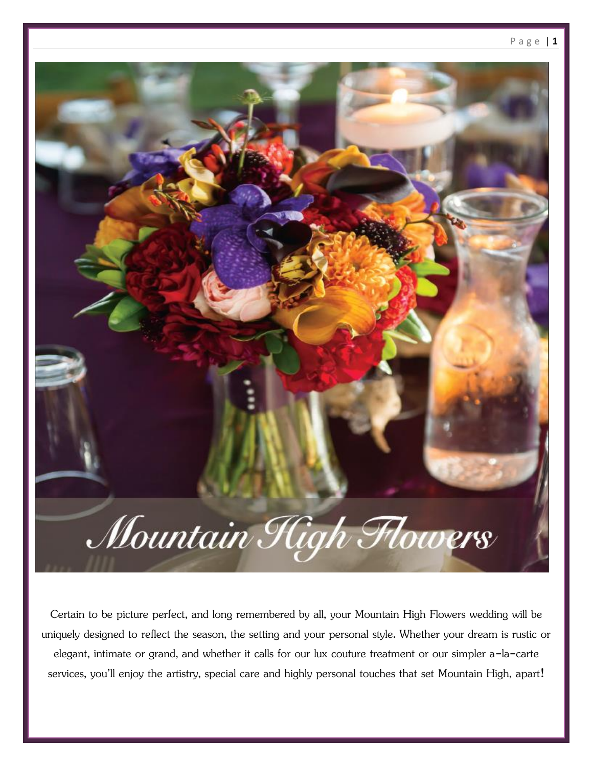

Certain to be picture perfect, and long remembered by all, your Mountain High Flowers wedding will be uniquely designed to reflect the season, the setting and your personal style. Whether your dream is rustic or elegant, intimate or grand, and whether it calls for our lux couture treatment or our simpler a-la-carte services, you'll enjoy the artistry, special care and highly personal touches that set Mountain High, apart!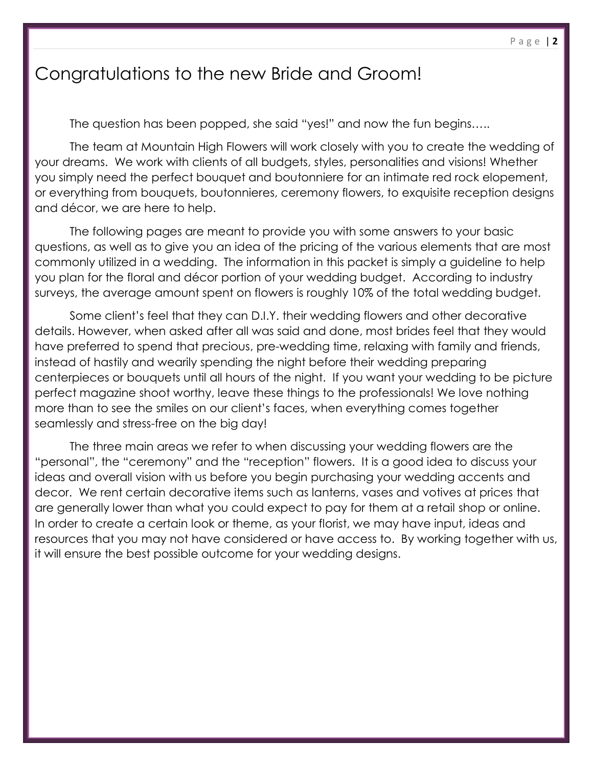# Congratulations to the new Bride and Groom!

The question has been popped, she said "yes!" and now the fun begins…..

The team at Mountain High Flowers will work closely with you to create the wedding of your dreams. We work with clients of all budgets, styles, personalities and visions! Whether you simply need the perfect bouquet and boutonniere for an intimate red rock elopement, or everything from bouquets, boutonnieres, ceremony flowers, to exquisite reception designs and décor, we are here to help.

The following pages are meant to provide you with some answers to your basic questions, as well as to give you an idea of the pricing of the various elements that are most commonly utilized in a wedding. The information in this packet is simply a guideline to help you plan for the floral and décor portion of your wedding budget. According to industry surveys, the average amount spent on flowers is roughly 10% of the total wedding budget.

Some client's feel that they can D.I.Y. their wedding flowers and other decorative details. However, when asked after all was said and done, most brides feel that they would have preferred to spend that precious, pre-wedding time, relaxing with family and friends, instead of hastily and wearily spending the night before their wedding preparing centerpieces or bouquets until all hours of the night. If you want your wedding to be picture perfect magazine shoot worthy, leave these things to the professionals! We love nothing more than to see the smiles on our client's faces, when everything comes together seamlessly and stress-free on the big day!

The three main areas we refer to when discussing your wedding flowers are the "personal", the "ceremony" and the "reception" flowers. It is a good idea to discuss your ideas and overall vision with us before you begin purchasing your wedding accents and decor. We rent certain decorative items such as lanterns, vases and votives at prices that are generally lower than what you could expect to pay for them at a retail shop or online. In order to create a certain look or theme, as your florist, we may have input, ideas and resources that you may not have considered or have access to. By working together with us, it will ensure the best possible outcome for your wedding designs.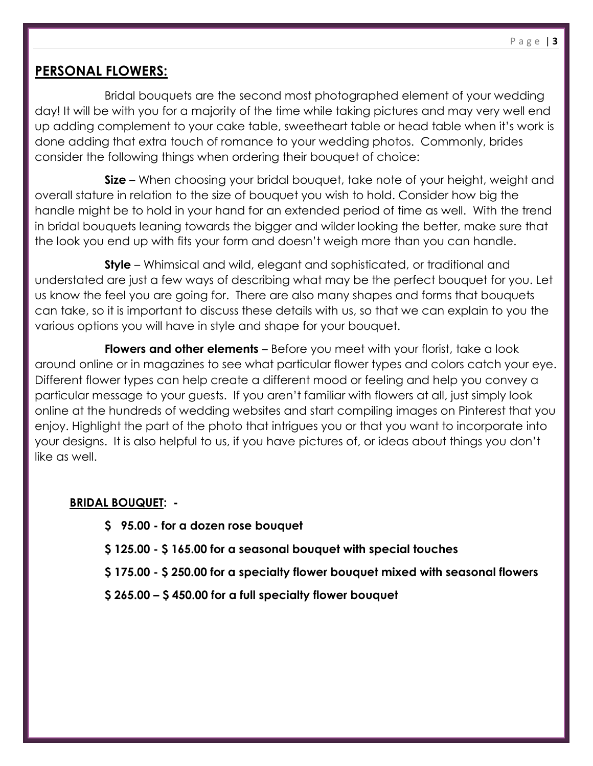## **PERSONAL FLOWERS:**

Bridal bouquets are the second most photographed element of your wedding day! It will be with you for a majority of the time while taking pictures and may very well end up adding complement to your cake table, sweetheart table or head table when it's work is done adding that extra touch of romance to your wedding photos. Commonly, brides consider the following things when ordering their bouquet of choice:

**Size** – When choosing your bridal bouquet, take note of your height, weight and overall stature in relation to the size of bouquet you wish to hold. Consider how big the handle might be to hold in your hand for an extended period of time as well. With the trend in bridal bouquets leaning towards the bigger and wilder looking the better, make sure that the look you end up with fits your form and doesn't weigh more than you can handle.

**Style** – Whimsical and wild, elegant and sophisticated, or traditional and understated are just a few ways of describing what may be the perfect bouquet for you. Let us know the feel you are going for. There are also many shapes and forms that bouquets can take, so it is important to discuss these details with us, so that we can explain to you the various options you will have in style and shape for your bouquet.

**Flowers and other elements** – Before you meet with your florist, take a look around online or in magazines to see what particular flower types and colors catch your eye. Different flower types can help create a different mood or feeling and help you convey a particular message to your guests. If you aren't familiar with flowers at all, just simply look online at the hundreds of wedding websites and start compiling images on Pinterest that you enjoy. Highlight the part of the photo that intrigues you or that you want to incorporate into your designs. It is also helpful to us, if you have pictures of, or ideas about things you don't like as well.

### **BRIDAL BOUQUET: -**

- **\$ 95.00 - for a dozen rose bouquet**
- **\$ 125.00 - \$ 165.00 for a seasonal bouquet with special touches**
- **\$ 175.00 - \$ 250.00 for a specialty flower bouquet mixed with seasonal flowers**
- **\$ 265.00 – \$ 450.00 for a full specialty flower bouquet**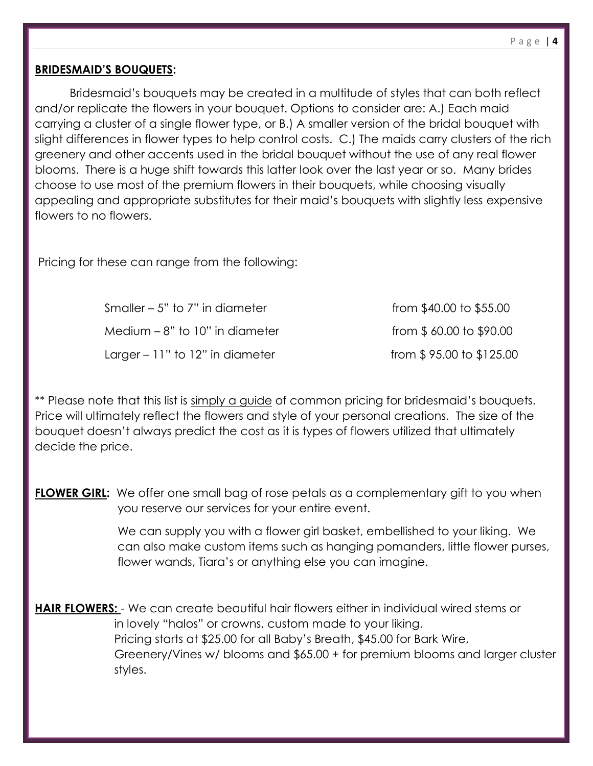#### **BRIDESMAID'S BOUQUETS:**

Bridesmaid's bouquets may be created in a multitude of styles that can both reflect and/or replicate the flowers in your bouquet. Options to consider are: A.) Each maid carrying a cluster of a single flower type, or B.) A smaller version of the bridal bouquet with slight differences in flower types to help control costs. C.) The maids carry clusters of the rich greenery and other accents used in the bridal bouquet without the use of any real flower blooms. There is a huge shift towards this latter look over the last year or so. Many brides choose to use most of the premium flowers in their bouquets, while choosing visually appealing and appropriate substitutes for their maid's bouquets with slightly less expensive flowers to no flowers.

Pricing for these can range from the following:

Smaller – 5" to 7" in diameter from  $$40.00$  to  $$55.00$ Medium  $-8$ " to 10" in diameter from  $$60.00$  to  $$90.00$  $Larger - 11"$  to  $12"$  in diameter from \$ 95.00 to \$125.00

\*\* Please note that this list is simply a guide of common pricing for bridesmaid's bouquets. Price will ultimately reflect the flowers and style of your personal creations. The size of the bouquet doesn't always predict the cost as it is types of flowers utilized that ultimately decide the price.

**FLOWER GIRL:** We offer one small bag of rose petals as a complementary gift to you when you reserve our services for your entire event.

> We can supply you with a flower girl basket, embellished to your liking. We can also make custom items such as hanging pomanders, little flower purses, flower wands, Tiara's or anything else you can imagine.

**HAIR FLOWERS:** - We can create beautiful hair flowers either in individual wired stems or in lovely "halos" or crowns, custom made to your liking. Pricing starts at \$25.00 for all Baby's Breath, \$45.00 for Bark Wire, Greenery/Vines w/ blooms and \$65.00 + for premium blooms and larger cluster styles.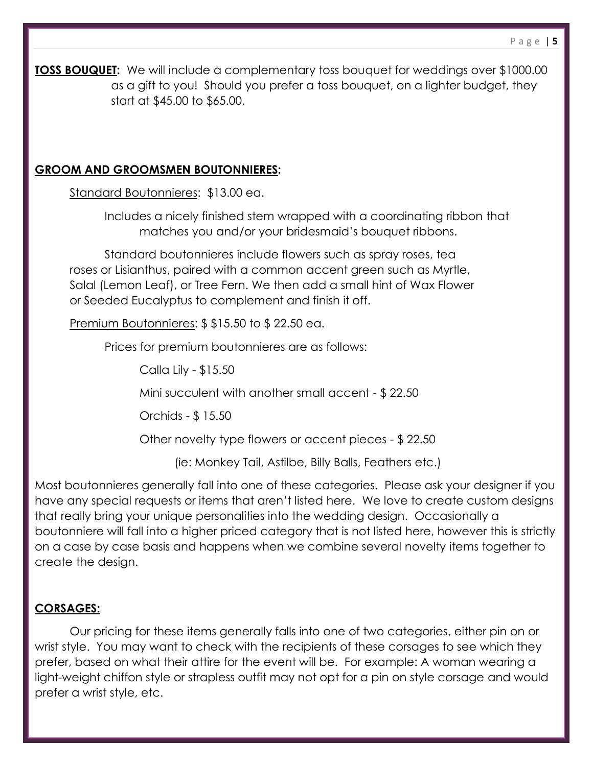**TOSS BOUQUET:** We will include a complementary toss bouquet for weddings over \$1000.00 as a gift to you! Should you prefer a toss bouquet, on a lighter budget, they start at \$45.00 to \$65.00.

### **GROOM AND GROOMSMEN BOUTONNIERES:**

Standard Boutonnieres: \$13.00 ea.

Includes a nicely finished stem wrapped with a coordinating ribbon that matches you and/or your bridesmaid's bouquet ribbons.

Standard boutonnieres include flowers such as spray roses, tea roses or Lisianthus, paired with a common accent green such as Myrtle, Salal (Lemon Leaf), or Tree Fern. We then add a small hint of Wax Flower or Seeded Eucalyptus to complement and finish it off.

Premium Boutonnieres: \$ \$15.50 to \$ 22.50 ea.

Prices for premium boutonnieres are as follows:

Calla Lily - \$15.50

Mini succulent with another small accent - \$ 22.50

Orchids - \$ 15.50

Other novelty type flowers or accent pieces - \$ 22.50

(ie: Monkey Tail, Astilbe, Billy Balls, Feathers etc.)

Most boutonnieres generally fall into one of these categories. Please ask your designer if you have any special requests or items that aren't listed here. We love to create custom designs that really bring your unique personalities into the wedding design. Occasionally a boutonniere will fall into a higher priced category that is not listed here, however this is strictly on a case by case basis and happens when we combine several novelty items together to create the design.

### **CORSAGES:**

Our pricing for these items generally falls into one of two categories, either pin on or wrist style. You may want to check with the recipients of these corsages to see which they prefer, based on what their attire for the event will be. For example: A woman wearing a light-weight chiffon style or strapless outfit may not opt for a pin on style corsage and would prefer a wrist style, etc.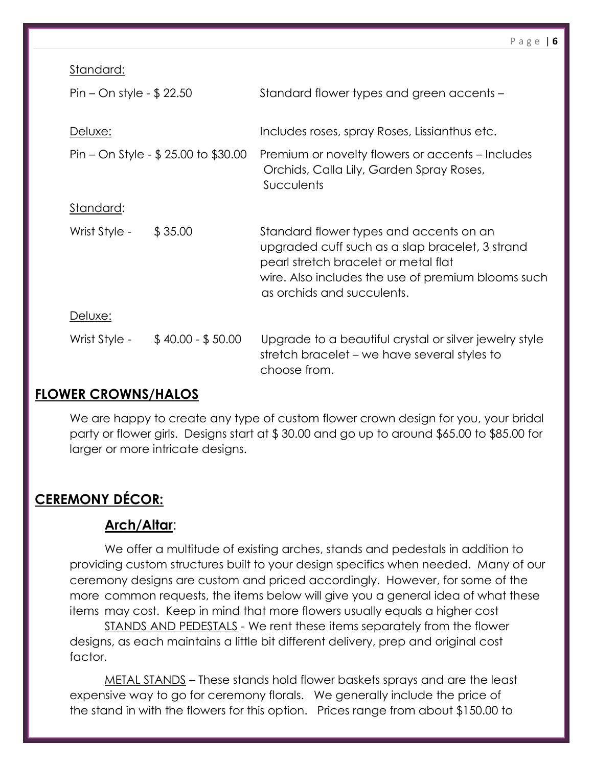Standard:

| Pin – On style - $$22.50$              |                   | Standard flower types and green accents -                                                                                                                                                                              |
|----------------------------------------|-------------------|------------------------------------------------------------------------------------------------------------------------------------------------------------------------------------------------------------------------|
| Deluxe:                                |                   | Includes roses, spray Roses, Lissianthus etc.                                                                                                                                                                          |
| Pin – On Style - $$ 25.00$ to $$30.00$ |                   | Premium or novelty flowers or accents – Includes<br>Orchids, Calla Lily, Garden Spray Roses,<br><b>Succulents</b>                                                                                                      |
| Standard:                              |                   |                                                                                                                                                                                                                        |
| Wrist Style -                          | \$35.00           | Standard flower types and accents on an<br>upgraded cuff such as a slap bracelet, 3 strand<br>pearl stretch bracelet or metal flat<br>wire. Also includes the use of premium blooms such<br>as orchids and succulents. |
| Deluxe:                                |                   |                                                                                                                                                                                                                        |
| Wrist Style -                          | $$40.00 - $50.00$ | Upgrade to a beautiful crystal or silver jewelry style<br>stretch bracelet – we have several styles to<br>choose from.                                                                                                 |

## **FLOWER CROWNS/HALOS**

We are happy to create any type of custom flower crown design for you, your bridal party or flower girls. Designs start at \$ 30.00 and go up to around \$65.00 to \$85.00 for larger or more intricate designs.

## **CEREMONY DÉCOR:**

## **Arch/Altar**:

We offer a multitude of existing arches, stands and pedestals in addition to providing custom structures built to your design specifics when needed. Many of our ceremony designs are custom and priced accordingly. However, for some of the more common requests, the items below will give you a general idea of what these items may cost. Keep in mind that more flowers usually equals a higher cost

STANDS AND PEDESTALS - We rent these items separately from the flower designs, as each maintains a little bit different delivery, prep and original cost factor.

METAL STANDS – These stands hold flower baskets sprays and are the least expensive way to go for ceremony florals. We generally include the price of the stand in with the flowers for this option. Prices range from about \$150.00 to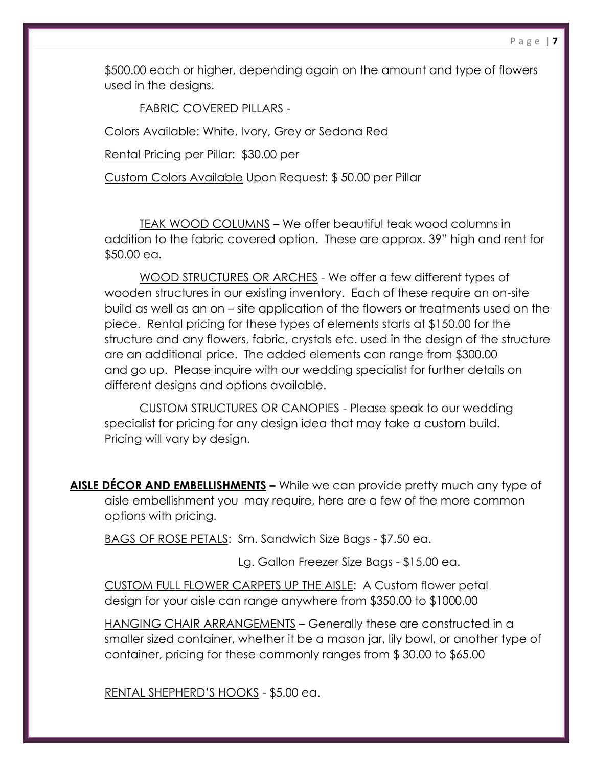\$500.00 each or higher, depending again on the amount and type of flowers used in the designs.

FABRIC COVERED PILLARS -

Colors Available: White, Ivory, Grey or Sedona Red

Rental Pricing per Pillar: \$30.00 per

Custom Colors Available Upon Request: \$ 50.00 per Pillar

TEAK WOOD COLUMNS – We offer beautiful teak wood columns in addition to the fabric covered option. These are approx. 39" high and rent for \$50.00 ea.

 WOOD STRUCTURES OR ARCHES - We offer a few different types of wooden structures in our existing inventory. Each of these require an on-site build as well as an on – site application of the flowers or treatments used on the piece. Rental pricing for these types of elements starts at \$150.00 for the structure and any flowers, fabric, crystals etc. used in the design of the structure are an additional price. The added elements can range from \$300.00 and go up. Please inquire with our wedding specialist for further details on different designs and options available.

CUSTOM STRUCTURES OR CANOPIES - Please speak to our wedding specialist for pricing for any design idea that may take a custom build. Pricing will vary by design.

**AISLE DÉCOR AND EMBELLISHMENTS –** While we can provide pretty much any type of aisle embellishment you may require, here are a few of the more common options with pricing.

BAGS OF ROSE PETALS: Sm. Sandwich Size Bags - \$7.50 ea.

Lg. Gallon Freezer Size Bags - \$15.00 ea.

CUSTOM FULL FLOWER CARPETS UP THE AISLE: A Custom flower petal design for your aisle can range anywhere from \$350.00 to \$1000.00

HANGING CHAIR ARRANGEMENTS – Generally these are constructed in a smaller sized container, whether it be a mason jar, lily bowl, or another type of container, pricing for these commonly ranges from \$ 30.00 to \$65.00

RENTAL SHEPHERD'S HOOKS - \$5.00 ea.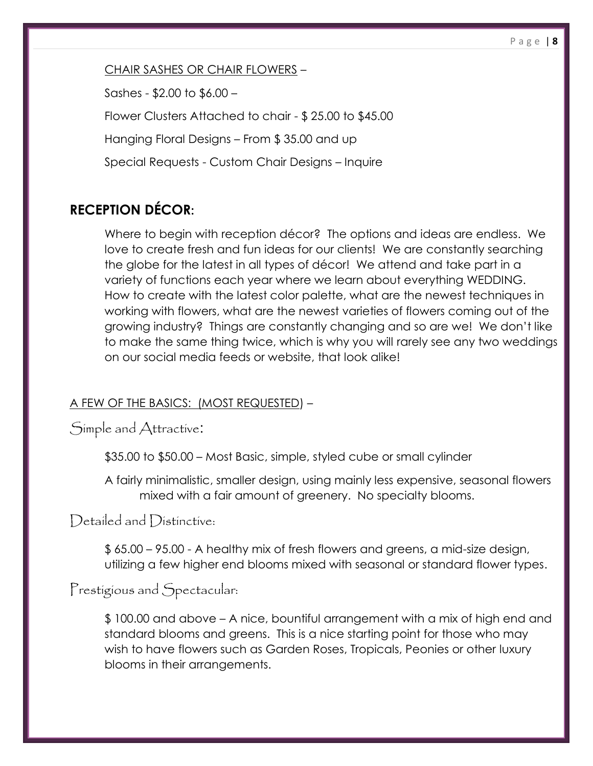### CHAIR SASHES OR CHAIR FLOWERS –

Sashes - \$2.00 to \$6.00 –

Flower Clusters Attached to chair - \$ 25.00 to \$45.00

Hanging Floral Designs – From \$ 35.00 and up

Special Requests - Custom Chair Designs – Inquire

## **RECEPTION DÉCOR:**

Where to begin with reception décor? The options and ideas are endless. We love to create fresh and fun ideas for our clients! We are constantly searching the globe for the latest in all types of décor! We attend and take part in a variety of functions each year where we learn about everything WEDDING. How to create with the latest color palette, what are the newest techniques in working with flowers, what are the newest varieties of flowers coming out of the growing industry? Things are constantly changing and so are we! We don't like to make the same thing twice, which is why you will rarely see any two weddings on our social media feeds or website, that look alike!

## A FEW OF THE BASICS: (MOST REQUESTED) –

Simple and Attractive:

\$35.00 to \$50.00 – Most Basic, simple, styled cube or small cylinder

A fairly minimalistic, smaller design, using mainly less expensive, seasonal flowers mixed with a fair amount of greenery. No specialty blooms.

Detailed and Distinctive:

\$ 65.00 – 95.00 - A healthy mix of fresh flowers and greens, a mid-size design, utilizing a few higher end blooms mixed with seasonal or standard flower types.

# Prestigious and Spectacular:

\$ 100.00 and above – A nice, bountiful arrangement with a mix of high end and standard blooms and greens. This is a nice starting point for those who may wish to have flowers such as Garden Roses, Tropicals, Peonies or other luxury blooms in their arrangements.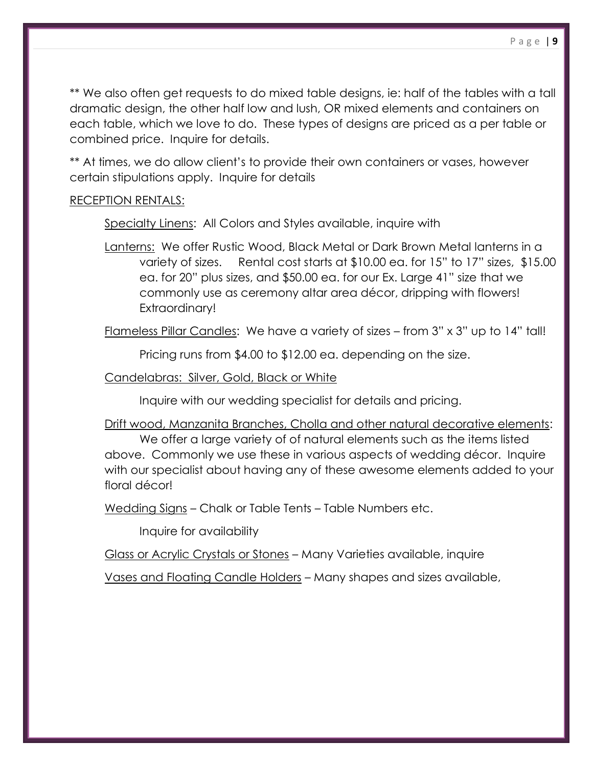\*\* We also often get requests to do mixed table designs, ie: half of the tables with a tall dramatic design, the other half low and lush, OR mixed elements and containers on each table, which we love to do. These types of designs are priced as a per table or combined price. Inquire for details.

\*\* At times, we do allow client's to provide their own containers or vases, however certain stipulations apply. Inquire for details

### RECEPTION RENTALS:

Specialty Linens: All Colors and Styles available, inquire with

Lanterns: We offer Rustic Wood, Black Metal or Dark Brown Metal lanterns in a variety of sizes. Rental cost starts at \$10.00 ea. for 15" to 17" sizes, \$15.00 ea. for 20" plus sizes, and \$50.00 ea. for our Ex. Large 41" size that we commonly use as ceremony altar area décor, dripping with flowers! Extraordinary!

Flameless Pillar Candles: We have a variety of sizes – from 3" x 3" up to 14" tall!

Pricing runs from \$4.00 to \$12.00 ea. depending on the size.

Candelabras: Silver, Gold, Black or White

Inquire with our wedding specialist for details and pricing.

Drift wood, Manzanita Branches, Cholla and other natural decorative elements:

We offer a large variety of of natural elements such as the items listed above. Commonly we use these in various aspects of wedding décor. Inquire with our specialist about having any of these awesome elements added to your floral décor!

Wedding Signs – Chalk or Table Tents – Table Numbers etc.

Inquire for availability

Glass or Acrylic Crystals or Stones - Many Varieties available, inquire

Vases and Floating Candle Holders – Many shapes and sizes available,